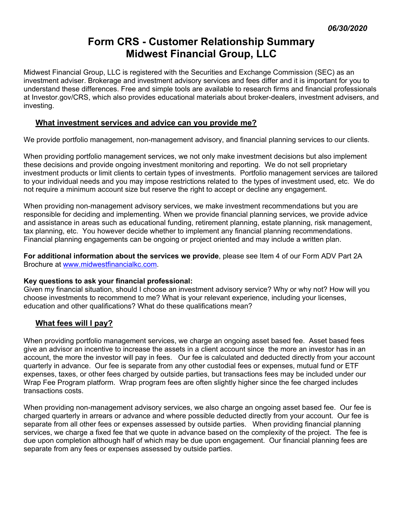# **Form CRS - Customer Relationship Summary Midwest Financial Group, LLC**

Midwest Financial Group, LLC is registered with the Securities and Exchange Commission (SEC) as an investment adviser. Brokerage and investment advisory services and fees differ and it is important for you to understand these differences. Free and simple tools are available to research firms and financial professionals at Investor.gov/CRS, which also provides educational materials about broker-dealers, investment advisers, and investing.

# **What investment services and advice can you provide me?**

We provide portfolio management, non-management advisory, and financial planning services to our clients.

When providing portfolio management services, we not only make investment decisions but also implement these decisions and provide ongoing investment monitoring and reporting. We do not sell proprietary investment products or limit clients to certain types of investments. Portfolio management services are tailored to your individual needs and you may impose restrictions related to the types of investment used, etc. We do not require a minimum account size but reserve the right to accept or decline any engagement.

When providing non-management advisory services, we make investment recommendations but you are responsible for deciding and implementing. When we provide financial planning services, we provide advice and assistance in areas such as educational funding, retirement planning, estate planning, risk management, tax planning, etc. You however decide whether to implement any financial planning recommendations. Financial planning engagements can be ongoing or project oriented and may include a written plan.

**For additional information about the services we provide**, please see Item 4 of our Form ADV Part 2A Brochure at www.midwestfinancialkc.com.

## **Key questions to ask your financial professional:**

Given my financial situation, should I choose an investment advisory service? Why or why not? How will you choose investments to recommend to me? What is your relevant experience, including your licenses, education and other qualifications? What do these qualifications mean?

## **What fees will I pay?**

When providing portfolio management services, we charge an ongoing asset based fee. Asset based fees give an advisor an incentive to increase the assets in a client account since the more an investor has in an account, the more the investor will pay in fees. Our fee is calculated and deducted directly from your account quarterly in advance. Our fee is separate from any other custodial fees or expenses, mutual fund or ETF expenses, taxes, or other fees charged by outside parties, but transactions fees may be included under our Wrap Fee Program platform. Wrap program fees are often slightly higher since the fee charged includes transactions costs.

When providing non-management advisory services, we also charge an ongoing asset based fee. Our fee is charged quarterly in arrears or advance and where possible deducted directly from your account. Our fee is separate from all other fees or expenses assessed by outside parties. When providing financial planning services, we charge a fixed fee that we quote in advance based on the complexity of the project. The fee is due upon completion although half of which may be due upon engagement. Our financial planning fees are separate from any fees or expenses assessed by outside parties.